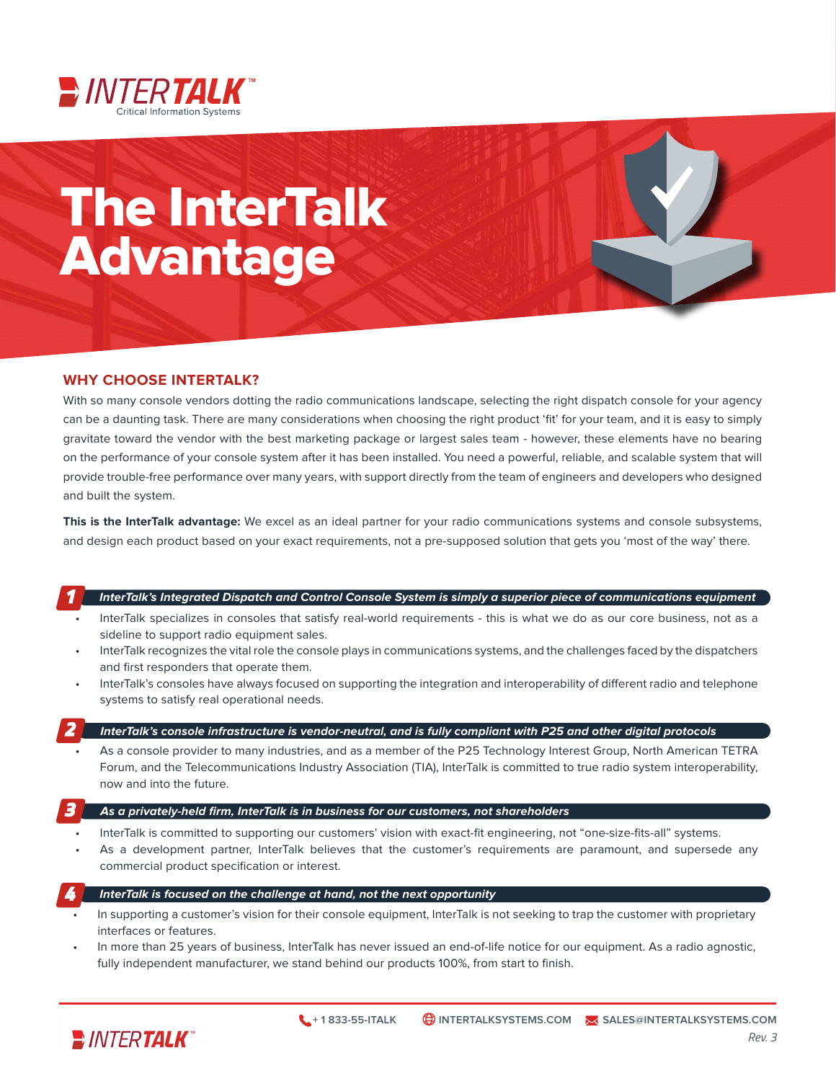

# The InterTalk Advantage

## **WHY CHOOSE INTERTALK?**

With so many console vendors dotting the radio communications landscape, selecting the right dispatch console for your agency can be a daunting task. There are many considerations when choosing the right product 'fit' for your team, and it is easy to simply gravitate toward the vendor with the best marketing package or largest sales team - however, these elements have no bearing on the performance of your console system after it has been installed. You need a powerful, reliable, and scalable system that will provide trouble-free performance over many years, with support directly from the team of engineers and developers who designed and built the system.

**This is the InterTalk advantage:** We excel as an ideal partner for your radio communications systems and console subsystems, and design each product based on your exact requirements, not a pre-supposed solution that gets you 'most of the way' there.

## **InterTalk's Integrated Dispatch and Control Console System is simply a superior piece of communications equipment**

- InterTalk specializes in consoles that satisfy real-world requirements this is what we do as our core business, not as a sideline to support radio equipment sales.
- InterTalk recognizes the vital role the console plays in communications systems, and the challenges faced by the dispatchers and first responders that operate them.
- InterTalk's consoles have always focused on supporting the integration and interoperability of different radio and telephone systems to satisfy real operational needs.

## *2*

*1*

## **InterTalk's console infrastructure is vendor-neutral, and is fully compliant with P25 and other digital protocols**

• As a console provider to many industries, and as a member of the P25 Technology Interest Group, North American TETRA Forum, and the Telecommunications Industry Association (TIA), InterTalk is committed to true radio system interoperability, now and into the future.

#### **As a privately-held firm, InterTalk is in business for our customers, not shareholders** *3*

- InterTalk is committed to supporting our customers' vision with exact-fit engineering, not "one-size-fits-all" systems.
- As a development partner, InterTalk believes that the customer's requirements are paramount, and supersede any commercial product specification or interest.

#### **InterTalk is focused on the challenge at hand, not the next opportunity** *4*

- In supporting a customer's vision for their console equipment, InterTalk is not seeking to trap the customer with proprietary interfaces or features.
- In more than 25 years of business, InterTalk has never issued an end-of-life notice for our equipment. As a radio agnostic, fully independent manufacturer, we stand behind our products 100%, from start to finish.